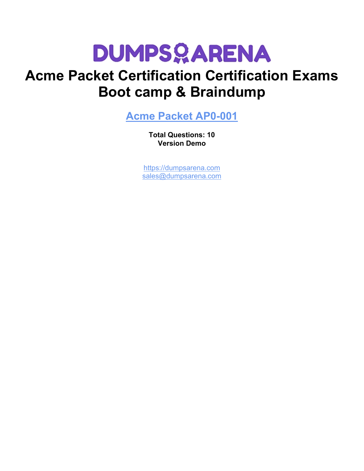

# **Acme Packet Certification Certification Exams Boot camp & Braindump**

**[Acme Packet AP0-001](https://dumpsarena.com/exam/ap0-001/)**

**Total Questions: 10 Version Demo**

[https://dumpsarena.com](https://dumpsarena.com/) [sales@dumpsarena.com](mailto:sales@dumpsarena.com)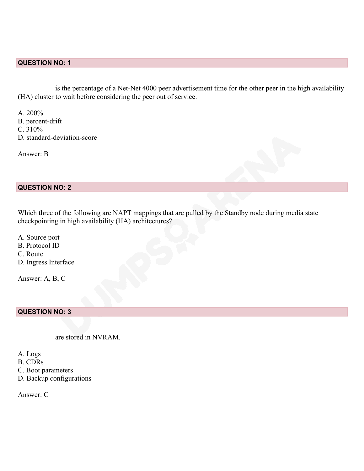# **QUESTION NO: 1**

is the percentage of a Net-Net 4000 peer advertisement time for the other peer in the high availability (HA) cluster to wait before considering the peer out of service.

A. 200% B. percent-drift C. 310% D. standard-deviation-score

Answer: B

#### **QUESTION NO: 2**

Which three of the following are NAPT mappings that are pulled by the Standby node during media state checkpointing in high availability (HA) architectures?

A. Source port

B. Protocol ID

C. Route

D. Ingress Interface

Answer: A, B, C

### **QUESTION NO: 3**

\_\_\_\_\_\_\_\_\_\_ are stored in NVRAM.

A. Logs

- B. CDRs
- C. Boot parameters
- D. Backup configurations

Answer: C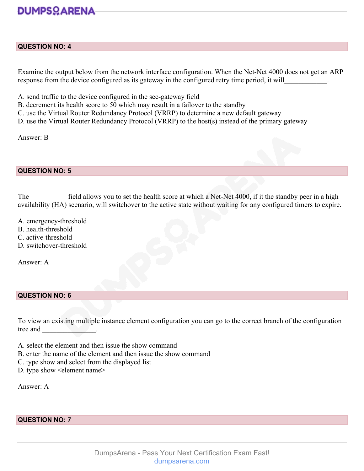# **DUMPSOARENA**

#### **QUESTION NO: 4**

Examine the output below from the network interface configuration. When the Net-Net 4000 does not get an ARP response from the device configured as its gateway in the configured retry time period, it will

- A. send traffic to the device configured in the sec-gateway field
- B. decrement its health score to 50 which may result in a failover to the standby
- C. use the Virtual Router Redundancy Protocol (VRRP) to determine a new default gateway
- D. use the Virtual Router Redundancy Protocol (VRRP) to the host(s) instead of the primary gateway

Answer: B

#### **QUESTION NO: 5**

The field allows you to set the health score at which a Net-Net 4000, if it the standby peer in a high availability (HA) scenario, will switchover to the active state without waiting for any configured timers to expire.

- A. emergency-threshold
- B. health-threshold
- C. active-threshold
- D. switchover-threshold

Answer: A

### **QUESTION NO: 6**

To view an existing multiple instance element configuration you can go to the correct branch of the configuration tree and \_\_\_\_\_\_\_\_\_\_\_\_\_\_\_.

- A. select the element and then issue the show command
- B. enter the name of the element and then issue the show command
- C. type show and select from the displayed list
- D. type show <element name>

Answer: A

### **QUESTION NO: 7**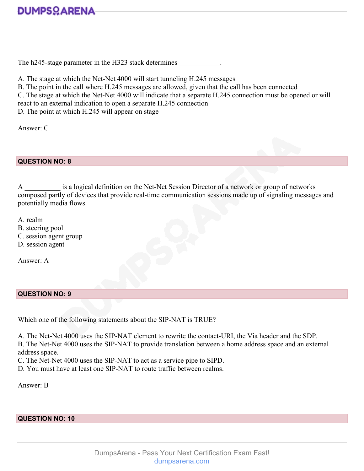

The h245-stage parameter in the H323 stack determines

A. The stage at which the Net-Net 4000 will start tunneling H.245 messages

B. The point in the call where H.245 messages are allowed, given that the call has been connected

C. The stage at which the Net-Net 4000 will indicate that a separate H.245 connection must be opened or will

react to an external indication to open a separate H.245 connection

D. The point at which H.245 will appear on stage

Answer: C

**QUESTION NO: 8**

A \_\_\_\_\_\_\_\_\_\_ is a logical definition on the Net-Net Session Director of a network or group of networks composed partly of devices that provide real-time communication sessions made up of signaling messages and potentially media flows.

A. realm

- B. steering pool
- C. session agent group
- D. session agent

Answer: A

## **QUESTION NO: 9**

Which one of the following statements about the SIP-NAT is TRUE?

A. The Net-Net 4000 uses the SIP-NAT element to rewrite the contact-URI, the Via header and the SDP. B. The Net-Net 4000 uses the SIP-NAT to provide translation between a home address space and an external address space.

C. The Net-Net 4000 uses the SIP-NAT to act as a service pipe to SIPD.

D. You must have at least one SIP-NAT to route traffic between realms.

Answer: B

#### **QUESTION NO: 10**